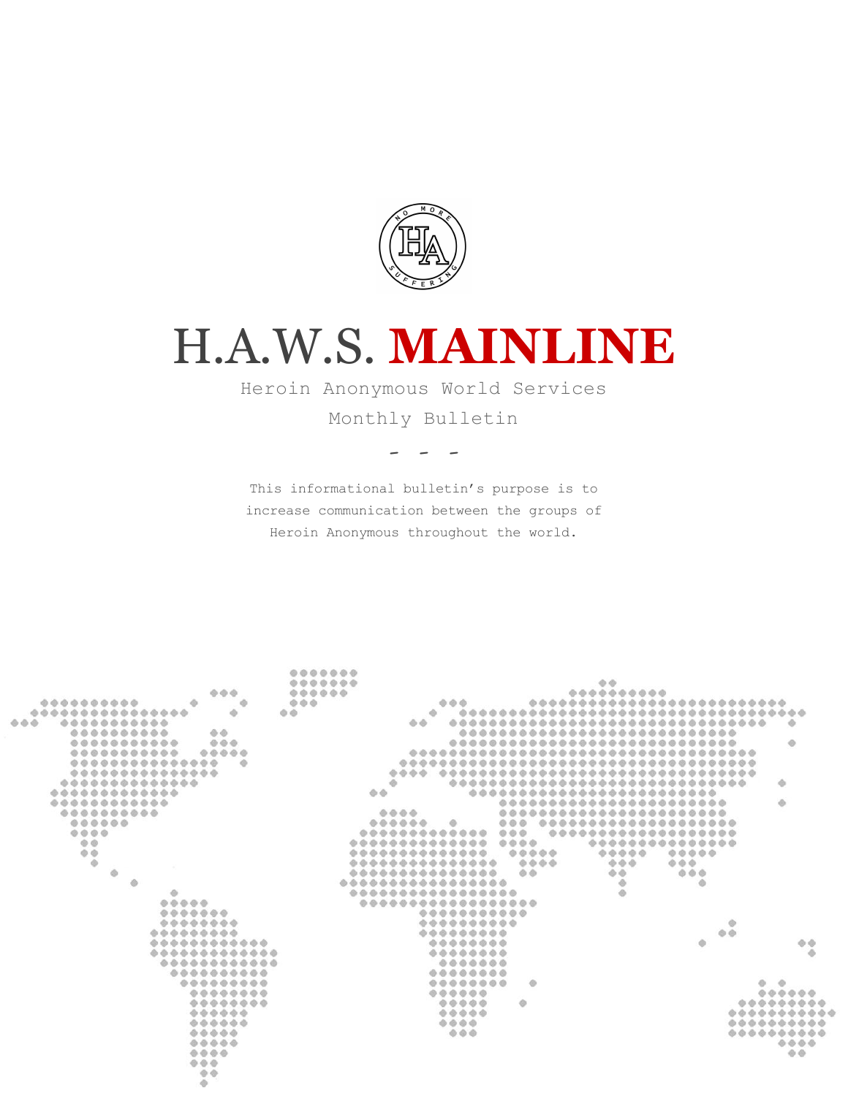

# H.A.W.S. **MAINLINE**

Heroin Anonymous World Services

Monthly Bulletin

- - -

This informational bulletin's purpose is to increase communication between the groups of Heroin Anonymous throughout the world.

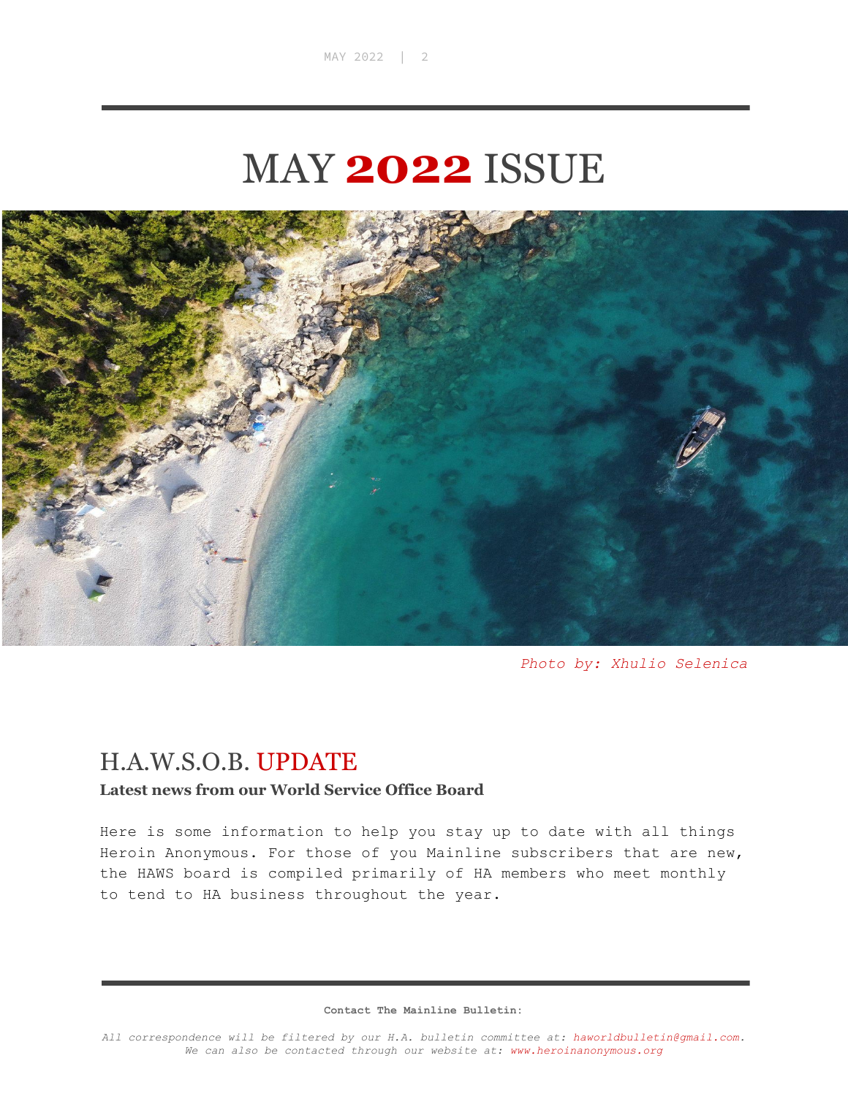## MAY **2022** ISSUE



*Photo by: Xhulio Selenica*

### H.A.W.S.O.B. UPDATE

#### **Latest news from our World Service Office Board**

Here is some information to help you stay up to date with all things Heroin Anonymous. For those of you Mainline subscribers that are new, the HAWS board is compiled primarily of HA members who meet monthly to tend to HA business throughout the year.

**Contact The Mainline Bulletin:**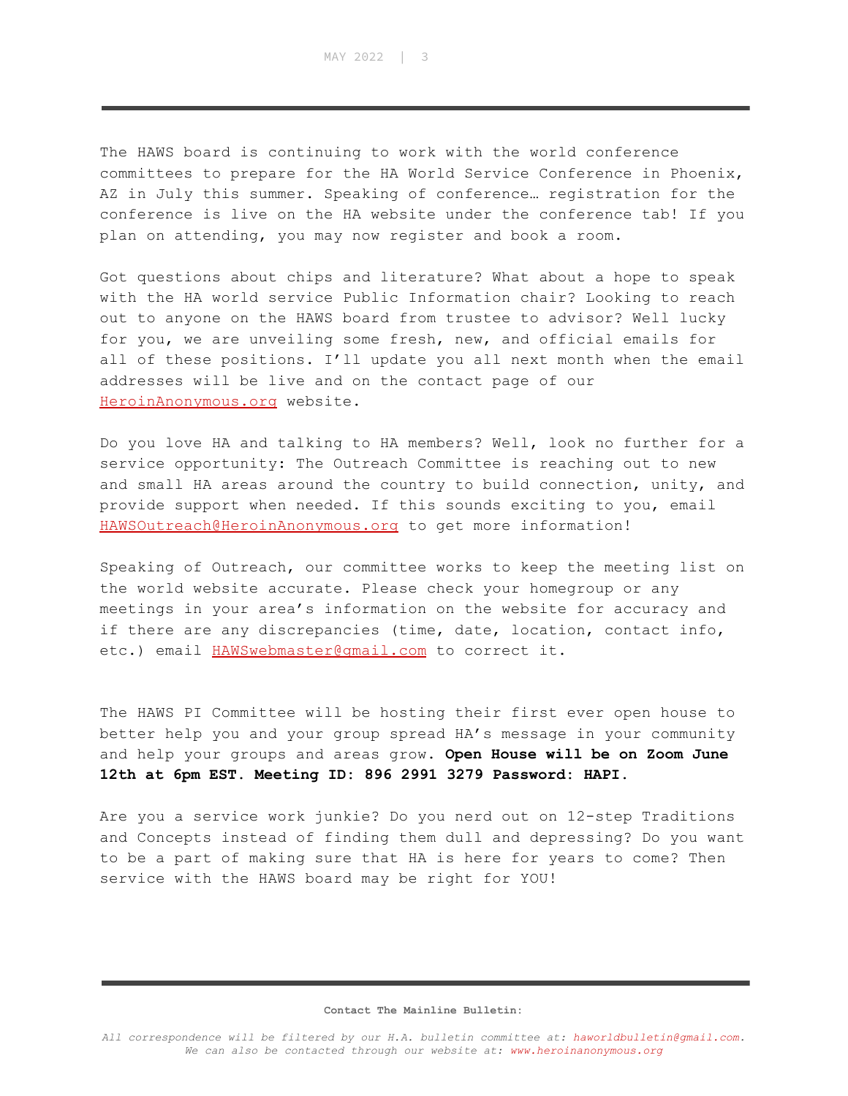The HAWS board is continuing to work with the world conference committees to prepare for the HA World Service Conference in Phoenix, AZ in July this summer. Speaking of conference… registration for the conference is live on the HA website under the conference tab! If you plan on attending, you may now register and book a room.

Got questions about chips and literature? What about a hope to speak with the HA world service Public Information chair? Looking to reach out to anyone on the HAWS board from trustee to advisor? Well lucky for you, we are unveiling some fresh, new, and official emails for all of these positions. I'll update you all next month when the email addresses will be live and on the contact page of our [HeroinAnonymous.org](https://heroinanonymous.org/) website.

Do you love HA and talking to HA members? Well, look no further for a service opportunity: The Outreach Committee is reaching out to new and small HA areas around the country to build connection, unity, and provide support when needed. If this sounds exciting to you, email [HAWSOutreach@HeroinAnonymous.org](mailto:HAWSOutreach@HeroinAnonymous.org) to get more information!

Speaking of Outreach, our committee works to keep the meeting list on the world website accurate. Please check your homegroup or any meetings in your area's information on the website for accuracy and if there are any discrepancies (time, date, location, contact info, etc.) email [HAWSwebmaster@gmail.com](mailto:HAWSwebmaster@gmail.com) to correct it.

The HAWS PI Committee will be hosting their first ever open house to better help you and your group spread HA's message in your community and help your groups and areas grow. **Open House will be on Zoom June 12th at 6pm EST. Meeting ID: 896 2991 3279 Password: HAPI.**

Are you a service work junkie? Do you nerd out on 12-step Traditions and Concepts instead of finding them dull and depressing? Do you want to be a part of making sure that HA is here for years to come? Then service with the HAWS board may be right for YOU!

#### **Contact The Mainline Bulletin:**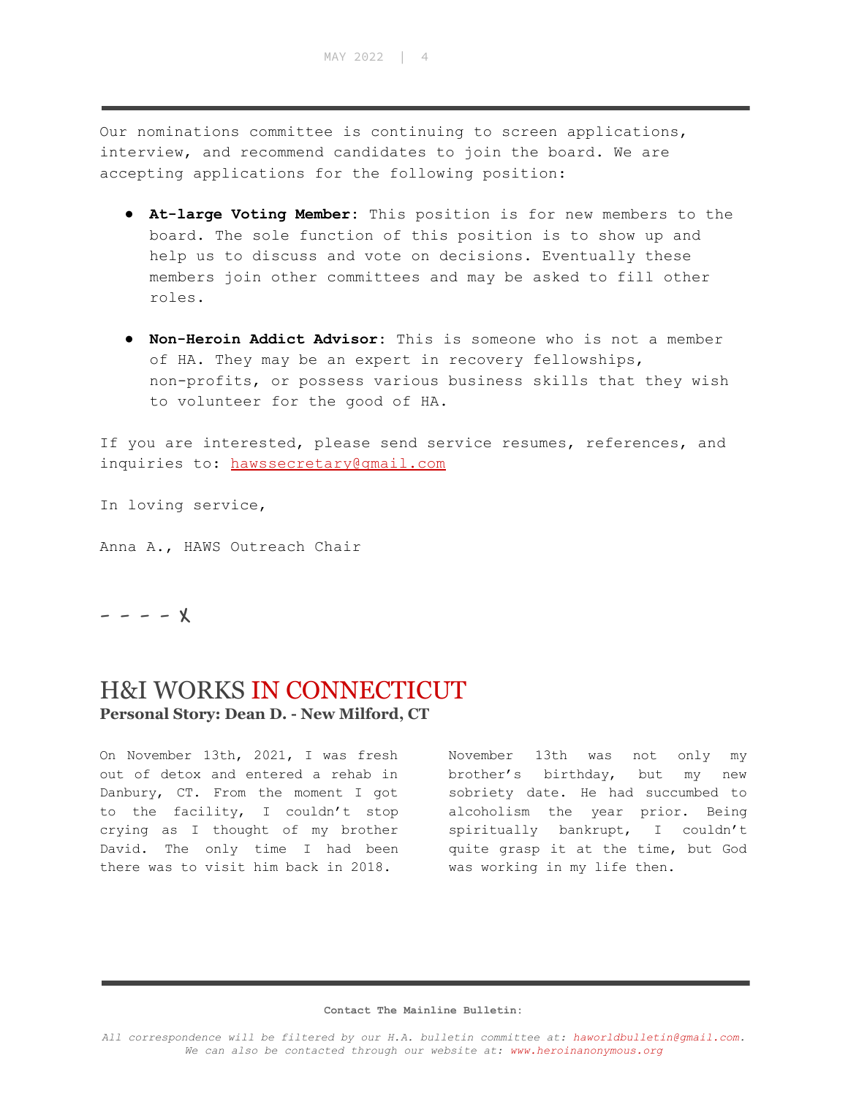Our nominations committee is continuing to screen applications, interview, and recommend candidates to join the board. We are accepting applications for the following position:

- **At-large Voting Member:** This position is for new members to the board. The sole function of this position is to show up and help us to discuss and vote on decisions. Eventually these members join other committees and may be asked to fill other roles.
- **Non-Heroin Addict Advisor:** This is someone who is not a member of HA. They may be an expert in recovery fellowships, non-profits, or possess various business skills that they wish to volunteer for the good of HA.

If you are interested, please send service resumes, references, and inquiries to: [hawssecretary@gmail.com](mailto:hawssecretary@gmail.com)

In loving service,

Anna A., HAWS Outreach Chair

 $- - - x$ 

## H&I WORKS IN CONNECTICUT

**Personal Story: Dean D. - New Milford, CT**

On November 13th, 2021, I was fresh out of detox and entered a rehab in Danbury, CT. From the moment I got to the facility, I couldn't stop crying as I thought of my brother David. The only time I had been there was to visit him back in 2018.

November 13th was not only my brother's birthday, but my new sobriety date. He had succumbed to alcoholism the year prior. Being spiritually bankrupt, I couldn't quite grasp it at the time, but God was working in my life then.

#### **Contact The Mainline Bulletin:**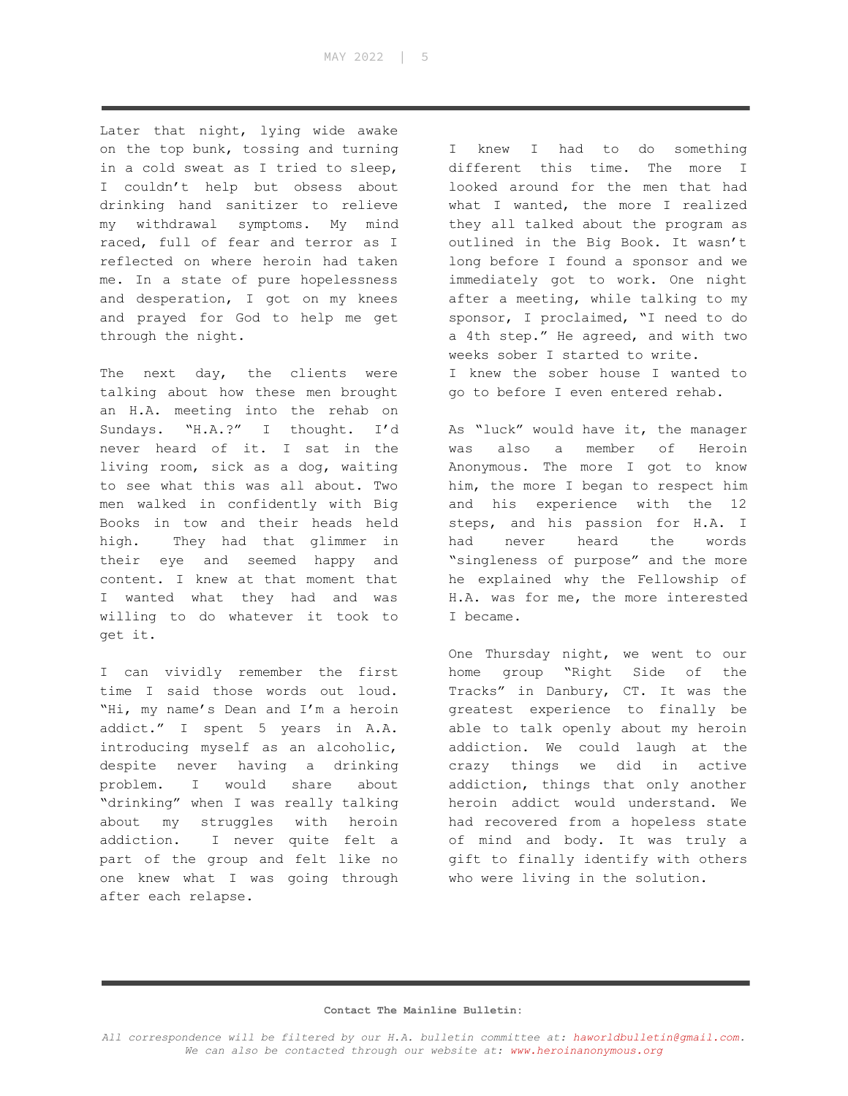Later that night, lying wide awake on the top bunk, tossing and turning in a cold sweat as I tried to sleep, I couldn't help but obsess about drinking hand sanitizer to relieve my withdrawal symptoms. My mind raced, full of fear and terror as I reflected on where heroin had taken me. In a state of pure hopelessness and desperation, I got on my knees and prayed for God to help me get through the night.

The next day, the clients were talking about how these men brought an H.A. meeting into the rehab on Sundays. "H.A.?" I thought. I'd never heard of it. I sat in the living room, sick as a dog, waiting to see what this was all about. Two men walked in confidently with Big Books in tow and their heads held high. They had that glimmer in their eye and seemed happy and content. I knew at that moment that I wanted what they had and was willing to do whatever it took to get it.

I can vividly remember the first time I said those words out loud. "Hi, my name's Dean and I'm a heroin addict." I spent 5 years in A.A. introducing myself as an alcoholic, despite never having a drinking problem. I would share about "drinking" when I was really talking about my struggles with heroin addiction. I never quite felt a part of the group and felt like no one knew what I was going through after each relapse.

I knew I had to do something different this time. The more I looked around for the men that had what I wanted, the more I realized they all talked about the program as outlined in the Big Book. It wasn't long before I found a sponsor and we immediately got to work. One night after a meeting, while talking to my sponsor, I proclaimed, "I need to do a 4th step." He agreed, and with two weeks sober I started to write. I knew the sober house I wanted to go to before I even entered rehab.

As "luck" would have it, the manager was also a member of Heroin Anonymous. The more I got to know him, the more I began to respect him and his experience with the 12 steps, and his passion for H.A. I had never heard the words "singleness of purpose" and the more he explained why the Fellowship of H.A. was for me, the more interested I became.

One Thursday night, we went to our home group "Right Side of the Tracks" in Danbury, CT. It was the greatest experience to finally be able to talk openly about my heroin addiction. We could laugh at the crazy things we did in active addiction, things that only another heroin addict would understand. We had recovered from a hopeless state of mind and body. It was truly a gift to finally identify with others who were living in the solution.

#### **Contact The Mainline Bulletin:**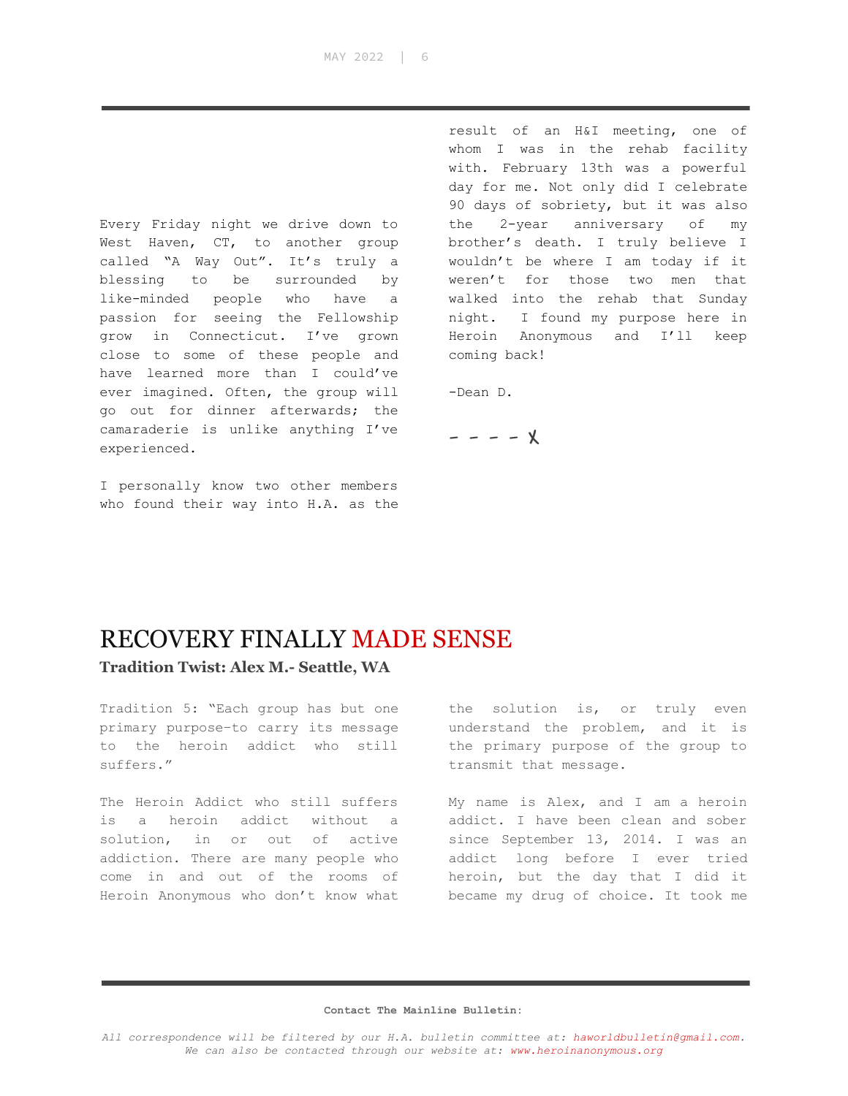Every Friday night we drive down to West Haven, CT, to another group called "A Way Out". It's truly a blessing to be surrounded by like-minded people who have a passion for seeing the Fellowship grow in Connecticut. I've grown close to some of these people and have learned more than I could've ever imagined. Often, the group will go out for dinner afterwards; the camaraderie is unlike anything I've experienced.

I personally know two other members who found their way into H.A. as the

result of an H&I meeting, one of whom I was in the rehab facility with. February 13th was a powerful day for me. Not only did I celebrate 90 days of sobriety, but it was also the 2-year anniversary of my brother's death. I truly believe I wouldn't be where I am today if it weren't for those two men that walked into the rehab that Sunday night. I found my purpose here in Heroin Anonymous and I'll keep coming back!

-Dean D.

$$
---\times
$$

### RECOVERY FINALLY MADE SENSE

**Tradition Twist: Alex M.- Seattle, WA**

Tradition 5: "Each group has but one primary purpose–to carry its message to the heroin addict who still suffers."

The Heroin Addict who still suffers is a heroin addict without a solution, in or out of active addiction. There are many people who come in and out of the rooms of Heroin Anonymous who don't know what

the solution is, or truly even understand the problem, and it is the primary purpose of the group to transmit that message.

My name is Alex, and I am a heroin addict. I have been clean and sober since September 13, 2014. I was an addict long before I ever tried heroin, but the day that I did it became my drug of choice. It took me

#### **Contact The Mainline Bulletin:**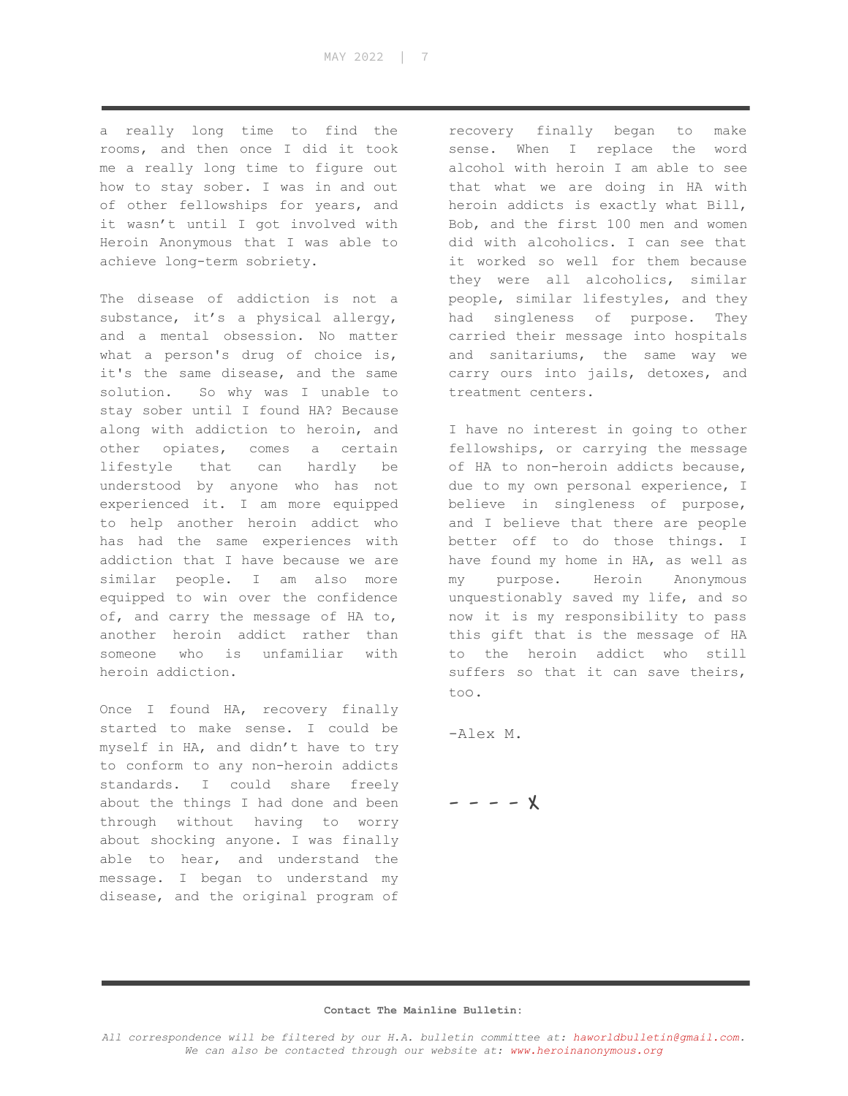MAY 2022 | 7

a really long time to find the rooms, and then once I did it took me a really long time to figure out how to stay sober. I was in and out of other fellowships for years, and it wasn't until I got involved with Heroin Anonymous that I was able to achieve long-term sobriety.

The disease of addiction is not a substance, it's a physical allergy, and a mental obsession. No matter what a person's drug of choice is, it's the same disease, and the same solution. So why was I unable to stay sober until I found HA? Because along with addiction to heroin, and other opiates, comes a certain lifestyle that can hardly be understood by anyone who has not experienced it. I am more equipped to help another heroin addict who has had the same experiences with addiction that I have because we are similar people. I am also more equipped to win over the confidence of, and carry the message of HA to, another heroin addict rather than someone who is unfamiliar with heroin addiction.

Once I found HA, recovery finally started to make sense. I could be myself in HA, and didn't have to try to conform to any non-heroin addicts standards. I could share freely about the things I had done and been through without having to worry about shocking anyone. I was finally able to hear, and understand the message. I began to understand my disease, and the original program of

recovery finally began to make sense. When I replace the word alcohol with heroin I am able to see that what we are doing in HA with heroin addicts is exactly what Bill, Bob, and the first 100 men and women did with alcoholics. I can see that it worked so well for them because they were all alcoholics, similar people, similar lifestyles, and they had singleness of purpose. They carried their message into hospitals and sanitariums, the same way we carry ours into jails, detoxes, and treatment centers.

I have no interest in going to other fellowships, or carrying the message of HA to non-heroin addicts because, due to my own personal experience, I believe in singleness of purpose, and I believe that there are people better off to do those things. I have found my home in HA, as well as my purpose. Heroin Anonymous unquestionably saved my life, and so now it is my responsibility to pass this gift that is the message of HA to the heroin addict who still suffers so that it can save theirs, too.

-Alex M.

- - - - X

#### **Contact The Mainline Bulletin:**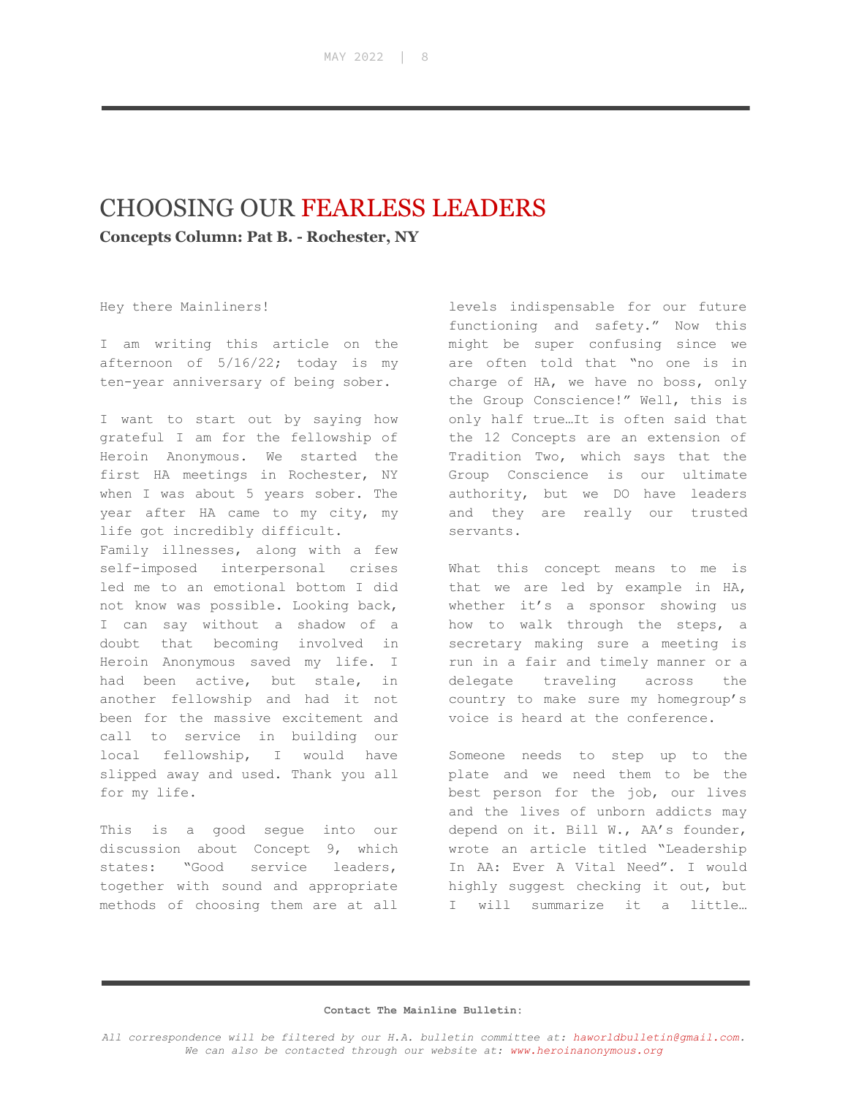## CHOOSING OUR FEARLESS LEADERS

**Concepts Column: Pat B. - Rochester, NY**

Hey there Mainliners!

I am writing this article on the afternoon of 5/16/22; today is my ten-year anniversary of being sober.

I want to start out by saying how grateful I am for the fellowship of Heroin Anonymous. We started the first HA meetings in Rochester, NY when I was about 5 years sober. The year after HA came to my city, my life got incredibly difficult. Family illnesses, along with a few self-imposed interpersonal crises led me to an emotional bottom I did not know was possible. Looking back, I can say without a shadow of a doubt that becoming involved in Heroin Anonymous saved my life. I had been active, but stale, in another fellowship and had it not been for the massive excitement and call to service in building our local fellowship, I would have slipped away and used. Thank you all for my life.

This is a good segue into our discussion about Concept 9, which states: "Good service leaders, together with sound and appropriate methods of choosing them are at all

levels indispensable for our future functioning and safety." Now this might be super confusing since we are often told that "no one is in charge of HA, we have no boss, only the Group Conscience!" Well, this is only half true…It is often said that the 12 Concepts are an extension of Tradition Two, which says that the Group Conscience is our ultimate authority, but we DO have leaders and they are really our trusted servants.

What this concept means to me is that we are led by example in HA, whether it's a sponsor showing us how to walk through the steps, a secretary making sure a meeting is run in a fair and timely manner or a delegate traveling across the country to make sure my homegroup's voice is heard at the conference.

Someone needs to step up to the plate and we need them to be the best person for the job, our lives and the lives of unborn addicts may depend on it. Bill W., AA's founder, wrote an article titled "Leadership In AA: Ever A Vital Need". I would highly suggest checking it out, but I will summarize it a little…

#### **Contact The Mainline Bulletin:**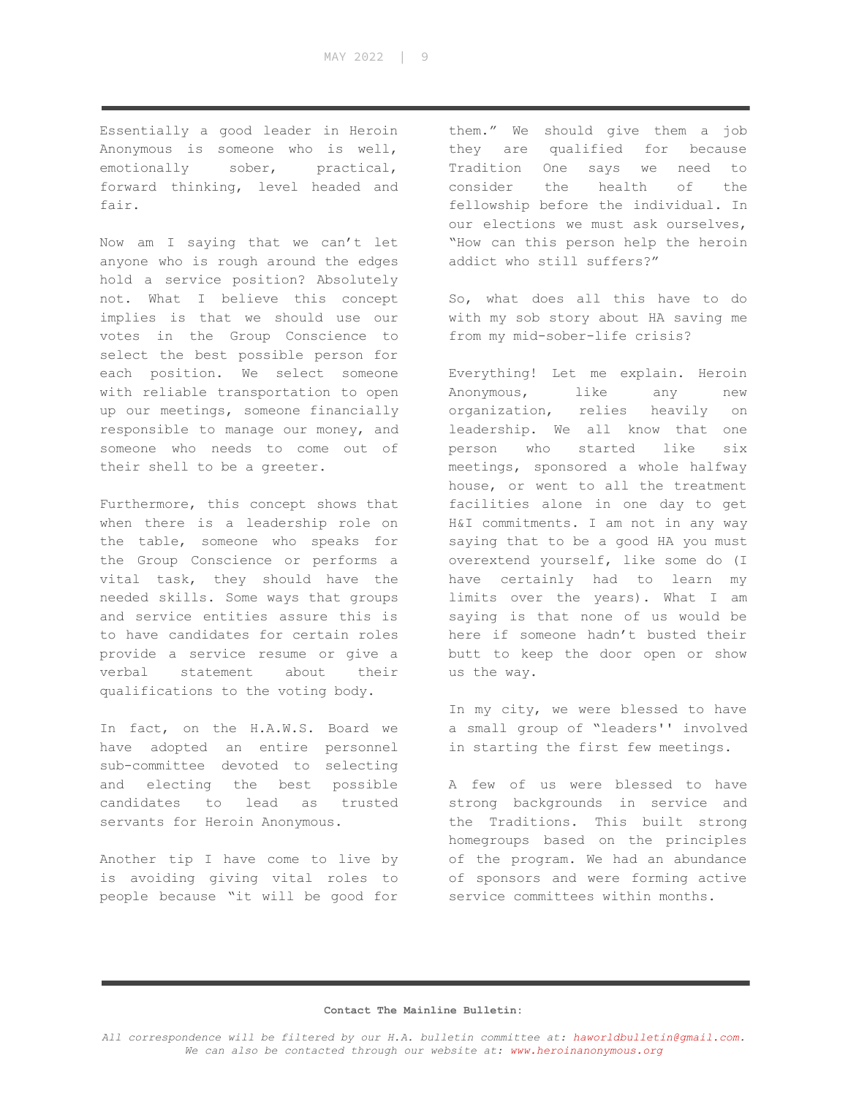Essentially a good leader in Heroin Anonymous is someone who is well, emotionally sober, practical, forward thinking, level headed and fair.

Now am I saying that we can't let anyone who is rough around the edges hold a service position? Absolutely not. What I believe this concept implies is that we should use our votes in the Group Conscience to select the best possible person for each position. We select someone with reliable transportation to open up our meetings, someone financially responsible to manage our money, and someone who needs to come out of their shell to be a greeter.

Furthermore, this concept shows that when there is a leadership role on the table, someone who speaks for the Group Conscience or performs a vital task, they should have the needed skills. Some ways that groups and service entities assure this is to have candidates for certain roles provide a service resume or give a verbal statement about their qualifications to the voting body.

In fact, on the H.A.W.S. Board we have adopted an entire personnel sub-committee devoted to selecting and electing the best possible candidates to lead as trusted servants for Heroin Anonymous.

Another tip I have come to live by is avoiding giving vital roles to people because "it will be good for

them." We should give them a job they are qualified for because Tradition One says we need to consider the health of the fellowship before the individual. In our elections we must ask ourselves, "How can this person help the heroin addict who still suffers?"

So, what does all this have to do with my sob story about HA saving me from my mid-sober-life crisis?

Everything! Let me explain. Heroin Anonymous, like any new organization, relies heavily on leadership. We all know that one person who started like six meetings, sponsored a whole halfway house, or went to all the treatment facilities alone in one day to get H&I commitments. I am not in any way saying that to be a good HA you must overextend yourself, like some do (I have certainly had to learn my limits over the years). What I am saying is that none of us would be here if someone hadn't busted their butt to keep the door open or show us the way.

In my city, we were blessed to have a small group of "leaders'' involved in starting the first few meetings.

A few of us were blessed to have strong backgrounds in service and the Traditions. This built strong homegroups based on the principles of the program. We had an abundance of sponsors and were forming active service committees within months.

#### **Contact The Mainline Bulletin:**